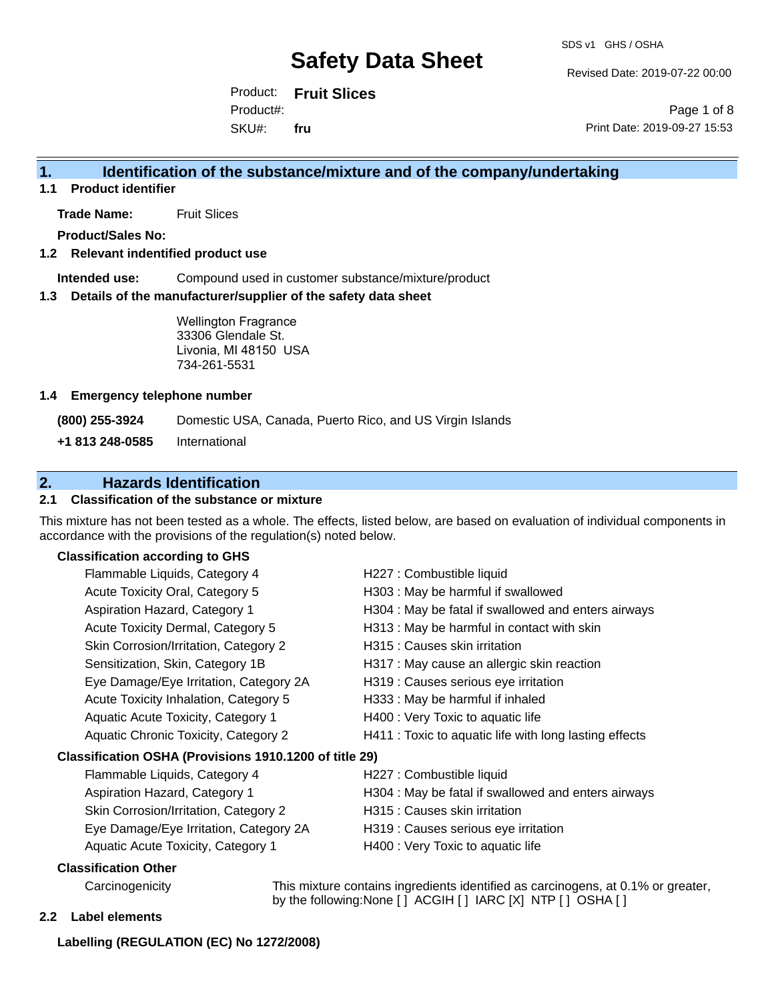Revised Date: 2019-07-22 00:00

Product: **Fruit Slices** SKU#: Product#: **fru**

Page 1 of 8 Print Date: 2019-09-27 15:53

## **1. Identification of the substance/mixture and of the company/undertaking**

**1.1 Product identifier**

**Trade Name:** Fruit Slices

**Product/Sales No:**

### **1.2 Relevant indentified product use**

**Intended use:** Compound used in customer substance/mixture/product

#### **1.3 Details of the manufacturer/supplier of the safety data sheet**

Wellington Fragrance 33306 Glendale St. Livonia, MI 48150 USA 734-261-5531

#### **1.4 Emergency telephone number**

**(800) 255-3924** Domestic USA, Canada, Puerto Rico, and US Virgin Islands

**+1 813 248-0585** International

## **2. Hazards Identification**

## **2.1 Classification of the substance or mixture**

This mixture has not been tested as a whole. The effects, listed below, are based on evaluation of individual components in accordance with the provisions of the regulation(s) noted below.

### **Classification according to GHS**

|                                                        | Flammable Liquids, Category 4          | H227 : Combustible liquid                              |
|--------------------------------------------------------|----------------------------------------|--------------------------------------------------------|
|                                                        | Acute Toxicity Oral, Category 5        | H303: May be harmful if swallowed                      |
|                                                        | Aspiration Hazard, Category 1          | H304 : May be fatal if swallowed and enters airways    |
|                                                        | Acute Toxicity Dermal, Category 5      | H313 : May be harmful in contact with skin             |
|                                                        | Skin Corrosion/Irritation, Category 2  | H315 : Causes skin irritation                          |
|                                                        | Sensitization, Skin, Category 1B       | H317 : May cause an allergic skin reaction             |
|                                                        | Eye Damage/Eye Irritation, Category 2A | H319 : Causes serious eye irritation                   |
|                                                        | Acute Toxicity Inhalation, Category 5  | H333: May be harmful if inhaled                        |
|                                                        | Aquatic Acute Toxicity, Category 1     | H400 : Very Toxic to aquatic life                      |
|                                                        | Aquatic Chronic Toxicity, Category 2   | H411 : Toxic to aquatic life with long lasting effects |
| Classification OSHA (Provisions 1910.1200 of title 29) |                                        |                                                        |
|                                                        | Flammable Liquids, Category 4          | H227 : Combustible liquid                              |
|                                                        | Aspiration Hazard, Category 1          | H304 : May be fatal if swallowed and enters airways    |
|                                                        | Skin Corrosion/Irritation, Category 2  | H315 : Causes skin irritation                          |
|                                                        | Eye Damage/Eye Irritation, Category 2A | H319 : Causes serious eye irritation                   |
|                                                        | Aquatic Acute Toxicity, Category 1     | H400 : Very Toxic to aquatic life                      |
|                                                        | Classification Other                   |                                                        |
|                                                        |                                        |                                                        |

Carcinogenicity This mixture contains ingredients identified as carcinogens, at 0.1% or greater, by the following:None [ ] ACGIH [ ] IARC [X] NTP [ ] OSHA [ ]

#### **2.2 Label elements**

#### **Labelling (REGULATION (EC) No 1272/2008)**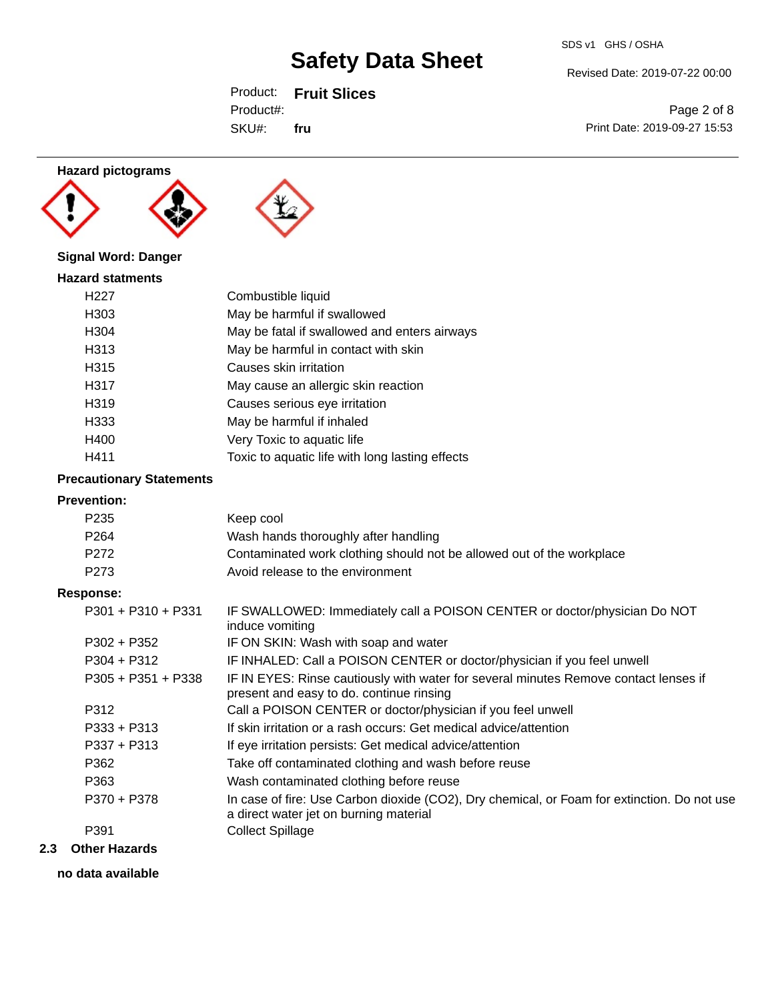Revised Date: 2019-07-22 00:00

Product: **Fruit Slices** SKU#: Product#: **fru**

Page 2 of 8 Print Date: 2019-09-27 15:53

## **Hazard pictograms**





## **Signal Word: Danger**

| <b>Hazard statments</b> |                                                 |  |  |
|-------------------------|-------------------------------------------------|--|--|
| H <sub>22</sub> 7       | Combustible liquid                              |  |  |
| H303                    | May be harmful if swallowed                     |  |  |
| H304                    | May be fatal if swallowed and enters airways    |  |  |
| H313                    | May be harmful in contact with skin             |  |  |
| H315                    | Causes skin irritation                          |  |  |
| H317                    | May cause an allergic skin reaction             |  |  |
| H319                    | Causes serious eye irritation                   |  |  |
| H333                    | May be harmful if inhaled                       |  |  |
| H400                    | Very Toxic to aquatic life                      |  |  |
| H411                    | Toxic to aquatic life with long lasting effects |  |  |

## **Precautionary Statements**

#### **Prevention:**

| P <sub>235</sub>     | Keep cool                                                                                                                             |
|----------------------|---------------------------------------------------------------------------------------------------------------------------------------|
| P <sub>264</sub>     | Wash hands thoroughly after handling                                                                                                  |
| P272                 | Contaminated work clothing should not be allowed out of the workplace                                                                 |
| P <sub>273</sub>     | Avoid release to the environment                                                                                                      |
| <b>Response:</b>     |                                                                                                                                       |
| $P301 + P310 + P331$ | IF SWALLOWED: Immediately call a POISON CENTER or doctor/physician Do NOT<br>induce vomiting                                          |
| $P302 + P352$        | IF ON SKIN: Wash with soap and water                                                                                                  |
| $P304 + P312$        | IF INHALED: Call a POISON CENTER or doctor/physician if you feel unwell                                                               |
| $P305 + P351 + P338$ | IF IN EYES: Rinse cautiously with water for several minutes Remove contact lenses if<br>present and easy to do. continue rinsing      |
| P312                 | Call a POISON CENTER or doctor/physician if you feel unwell                                                                           |
| $P333 + P313$        | If skin irritation or a rash occurs: Get medical advice/attention                                                                     |
| $P337 + P313$        | If eye irritation persists: Get medical advice/attention                                                                              |
| P362                 | Take off contaminated clothing and wash before reuse                                                                                  |
| P363                 | Wash contaminated clothing before reuse                                                                                               |
| P370 + P378          | In case of fire: Use Carbon dioxide (CO2), Dry chemical, or Foam for extinction. Do not use<br>a direct water jet on burning material |
| P391                 | <b>Collect Spillage</b>                                                                                                               |
|                      |                                                                                                                                       |

## **2.3 Other Hazards**

**no data available**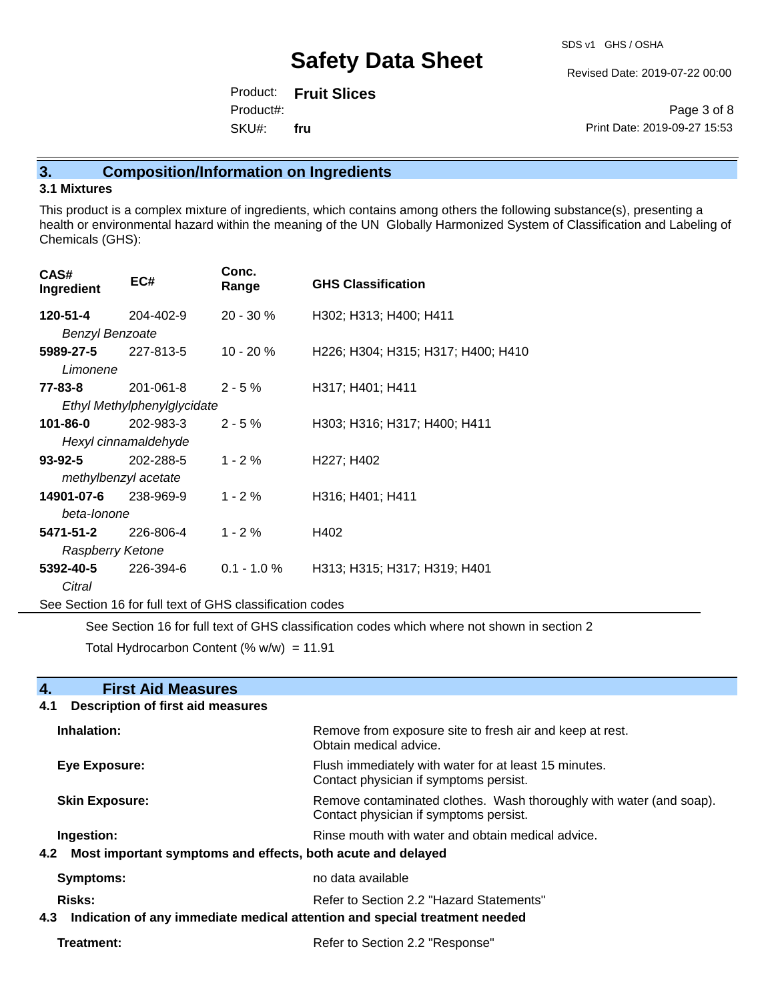Revised Date: 2019-07-22 00:00

Product: **Fruit Slices** SKU#: Product#: **fru**

Page 3 of 8 Print Date: 2019-09-27 15:53

## **3. Composition/Information on Ingredients**

### **3.1 Mixtures**

This product is a complex mixture of ingredients, which contains among others the following substance(s), presenting a health or environmental hazard within the meaning of the UN Globally Harmonized System of Classification and Labeling of Chemicals (GHS):

| CAS#<br>Ingredient                                       | EC#                         | Conc.<br>Range | <b>GHS Classification</b>          |  |
|----------------------------------------------------------|-----------------------------|----------------|------------------------------------|--|
| 120-51-4                                                 | 204-402-9                   | $20 - 30 \%$   | H302; H313; H400; H411             |  |
| <b>Benzyl Benzoate</b>                                   |                             |                |                                    |  |
| 5989-27-5                                                | 227-813-5                   | $10 - 20 \%$   | H226; H304; H315; H317; H400; H410 |  |
| Limonene                                                 |                             |                |                                    |  |
| 77-83-8                                                  | 201-061-8                   | $2 - 5%$       | H317; H401; H411                   |  |
|                                                          | Ethyl Methylphenylglycidate |                |                                    |  |
| 101-86-0                                                 | 202-983-3                   | $2 - 5%$       | H303; H316; H317; H400; H411       |  |
| Hexyl cinnamaldehyde                                     |                             |                |                                    |  |
| 93-92-5                                                  | 202-288-5                   | $1 - 2%$       | H227; H402                         |  |
|                                                          | methylbenzyl acetate        |                |                                    |  |
| 14901-07-6                                               | 238-969-9                   | $1 - 2%$       | H316; H401; H411                   |  |
| beta-lonone                                              |                             |                |                                    |  |
| 5471-51-2                                                | 226-806-4                   | $1 - 2%$       | H402                               |  |
| Raspberry Ketone                                         |                             |                |                                    |  |
| 5392-40-5                                                | 226-394-6                   | $0.1 - 1.0 \%$ | H313; H315; H317; H319; H401       |  |
| Citral                                                   |                             |                |                                    |  |
| See Section 16 for full text of GHS classification codes |                             |                |                                    |  |

See Section 16 for full text of GHS classification codes which where not shown in section 2

Total Hydrocarbon Content (%  $w/w$ ) = 11.91

| 4.<br><b>First Aid Measures</b>                                                   |                                                                                                               |  |
|-----------------------------------------------------------------------------------|---------------------------------------------------------------------------------------------------------------|--|
| <b>Description of first aid measures</b><br>4.1                                   |                                                                                                               |  |
| Inhalation:                                                                       | Remove from exposure site to fresh air and keep at rest.<br>Obtain medical advice.                            |  |
| Eye Exposure:                                                                     | Flush immediately with water for at least 15 minutes.<br>Contact physician if symptoms persist.               |  |
| <b>Skin Exposure:</b>                                                             | Remove contaminated clothes. Wash thoroughly with water (and soap).<br>Contact physician if symptoms persist. |  |
| Ingestion:                                                                        | Rinse mouth with water and obtain medical advice.                                                             |  |
| Most important symptoms and effects, both acute and delayed<br>4.2                |                                                                                                               |  |
| <b>Symptoms:</b>                                                                  | no data available                                                                                             |  |
| Risks:                                                                            | Refer to Section 2.2 "Hazard Statements"                                                                      |  |
| Indication of any immediate medical attention and special treatment needed<br>4.3 |                                                                                                               |  |
| Treatment:                                                                        | Refer to Section 2.2 "Response"                                                                               |  |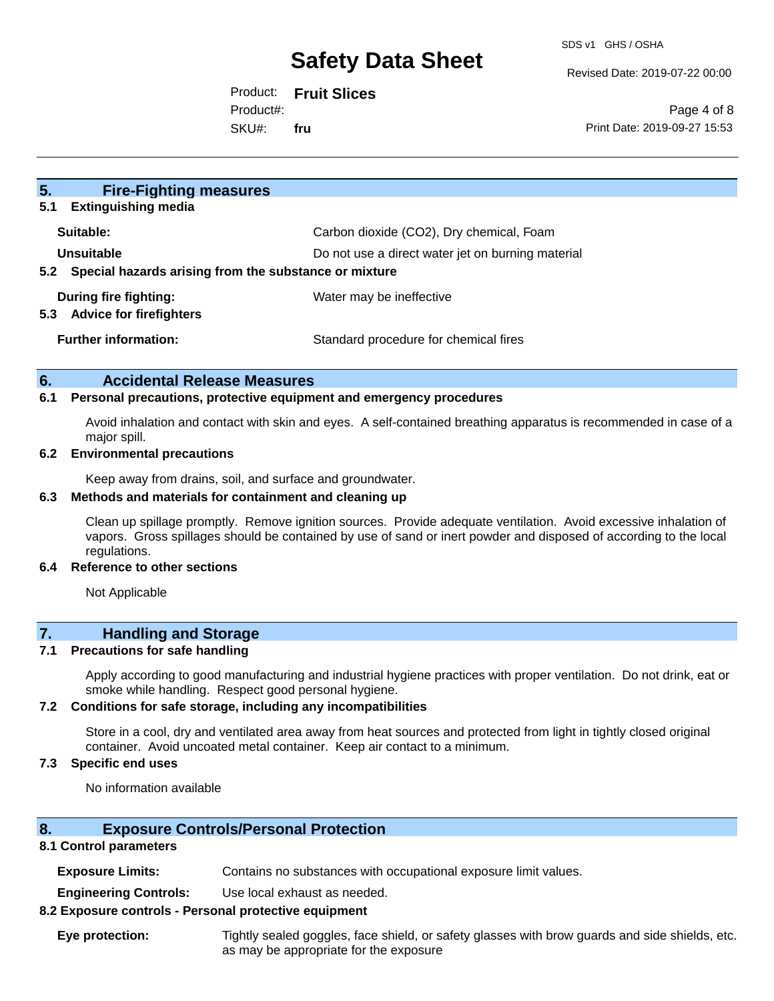Revised Date: 2019-07-22 00:00

Product: **Fruit Slices** SKU#: Product#: **fru**

Page 4 of 8 Print Date: 2019-09-27 15:53

| 5 <sub>1</sub><br><b>Fire-Fighting measures</b><br><b>Extinguishing media</b><br>5.1                                            |                                          |
|---------------------------------------------------------------------------------------------------------------------------------|------------------------------------------|
| Suitable:                                                                                                                       | Carbon dioxide (CO2), Dry chemical, Foam |
| Unsuitable<br>Do not use a direct water jet on burning material<br>Special hazards arising from the substance or mixture<br>5.2 |                                          |
| During fire fighting:<br><b>Advice for firefighters</b><br>5.3                                                                  | Water may be ineffective                 |
| <b>Further information:</b>                                                                                                     | Standard procedure for chemical fires    |

### **6. Accidental Release Measures**

#### **6.1 Personal precautions, protective equipment and emergency procedures**

Avoid inhalation and contact with skin and eyes. A self-contained breathing apparatus is recommended in case of a major spill.

#### **6.2 Environmental precautions**

Keep away from drains, soil, and surface and groundwater.

### **6.3 Methods and materials for containment and cleaning up**

Clean up spillage promptly. Remove ignition sources. Provide adequate ventilation. Avoid excessive inhalation of vapors. Gross spillages should be contained by use of sand or inert powder and disposed of according to the local regulations.

#### **6.4 Reference to other sections**

Not Applicable

## **7. Handling and Storage**

#### **7.1 Precautions for safe handling**

Apply according to good manufacturing and industrial hygiene practices with proper ventilation. Do not drink, eat or smoke while handling. Respect good personal hygiene.

#### **7.2 Conditions for safe storage, including any incompatibilities**

Store in a cool, dry and ventilated area away from heat sources and protected from light in tightly closed original container. Avoid uncoated metal container. Keep air contact to a minimum.

### **7.3 Specific end uses**

No information available

### **8. Exposure Controls/Personal Protection**

#### **8.1 Control parameters**

**Exposure Limits:** Contains no substances with occupational exposure limit values.

**Engineering Controls:** Use local exhaust as needed.

#### **8.2 Exposure controls - Personal protective equipment**

**Eye protection:** Tightly sealed goggles, face shield, or safety glasses with brow guards and side shields, etc. as may be appropriate for the exposure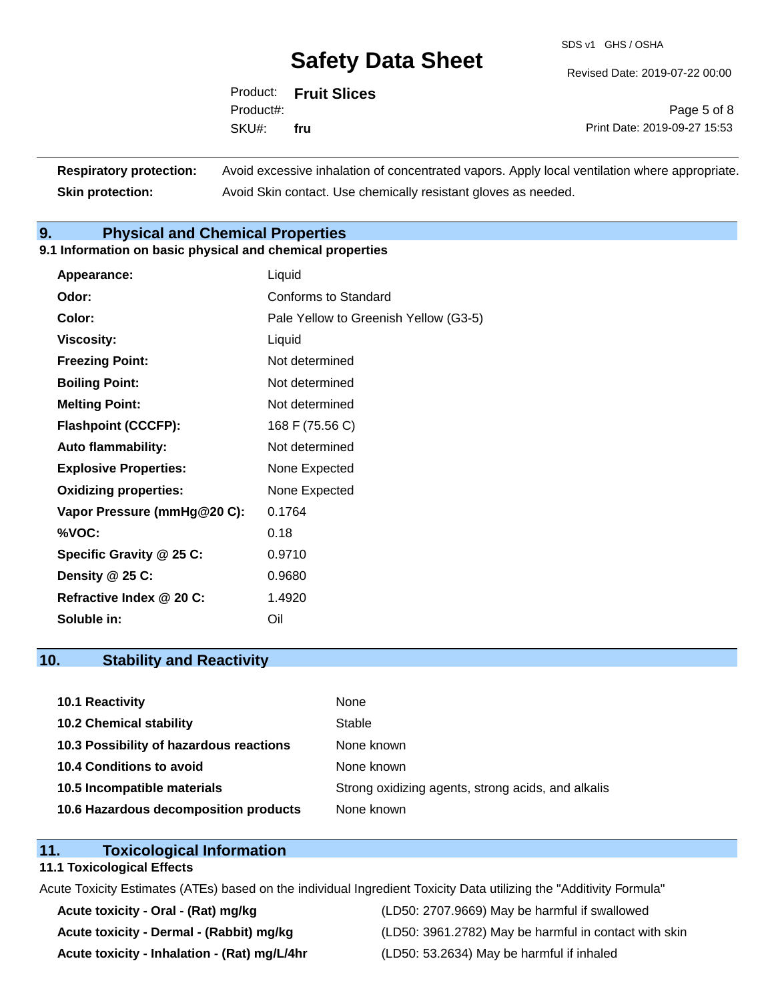SDS v1 GHS / OSHA

Revised Date: 2019-07-22 00:00

|           | Product: Fruit Slices |  |
|-----------|-----------------------|--|
| Product#: |                       |  |
| SKU# fru  |                       |  |

Page 5 of 8 Print Date: 2019-09-27 15:53

| <b>Respiratory protection:</b> | Avoid excessive inhalation of concentrated vapors. Apply local ventilation where appropriate. |
|--------------------------------|-----------------------------------------------------------------------------------------------|
| <b>Skin protection:</b>        | Avoid Skin contact. Use chemically resistant gloves as needed.                                |

## **9. Physical and Chemical Properties**

## **9.1 Information on basic physical and chemical properties**

| Appearance:                  | Liquid                                |
|------------------------------|---------------------------------------|
| Odor:                        | Conforms to Standard                  |
| Color:                       | Pale Yellow to Greenish Yellow (G3-5) |
| <b>Viscosity:</b>            | Liquid                                |
| <b>Freezing Point:</b>       | Not determined                        |
| <b>Boiling Point:</b>        | Not determined                        |
| <b>Melting Point:</b>        | Not determined                        |
| <b>Flashpoint (CCCFP):</b>   | 168 F (75.56 C)                       |
| <b>Auto flammability:</b>    | Not determined                        |
| <b>Explosive Properties:</b> | None Expected                         |
| <b>Oxidizing properties:</b> | None Expected                         |
| Vapor Pressure (mmHg@20 C):  | 0.1764                                |
| %VOC:                        | 0.18                                  |
| Specific Gravity @ 25 C:     | 0.9710                                |
| Density @ 25 C:              | 0.9680                                |
| Refractive Index @ 20 C:     | 1.4920                                |
| Soluble in:                  | Oil                                   |

## **10. Stability and Reactivity**

| <b>10.1 Reactivity</b>                  | None                                               |
|-----------------------------------------|----------------------------------------------------|
| <b>10.2 Chemical stability</b>          | Stable                                             |
| 10.3 Possibility of hazardous reactions | None known                                         |
| <b>10.4 Conditions to avoid</b>         | None known                                         |
| 10.5 Incompatible materials             | Strong oxidizing agents, strong acids, and alkalis |
| 10.6 Hazardous decomposition products   | None known                                         |

## **11. Toxicological Information**

#### **11.1 Toxicological Effects**

Acute Toxicity Estimates (ATEs) based on the individual Ingredient Toxicity Data utilizing the "Additivity Formula"

**Acute toxicity - Inhalation - (Rat) mg/L/4hr** (LD50: 53.2634) May be harmful if inhaled

**Acute toxicity - Oral - (Rat) mg/kg** (LD50: 2707.9669) May be harmful if swallowed Acute toxicity - Dermal - (Rabbit) mg/kg<br>
(LD50: 3961.2782) May be harmful in contact with skin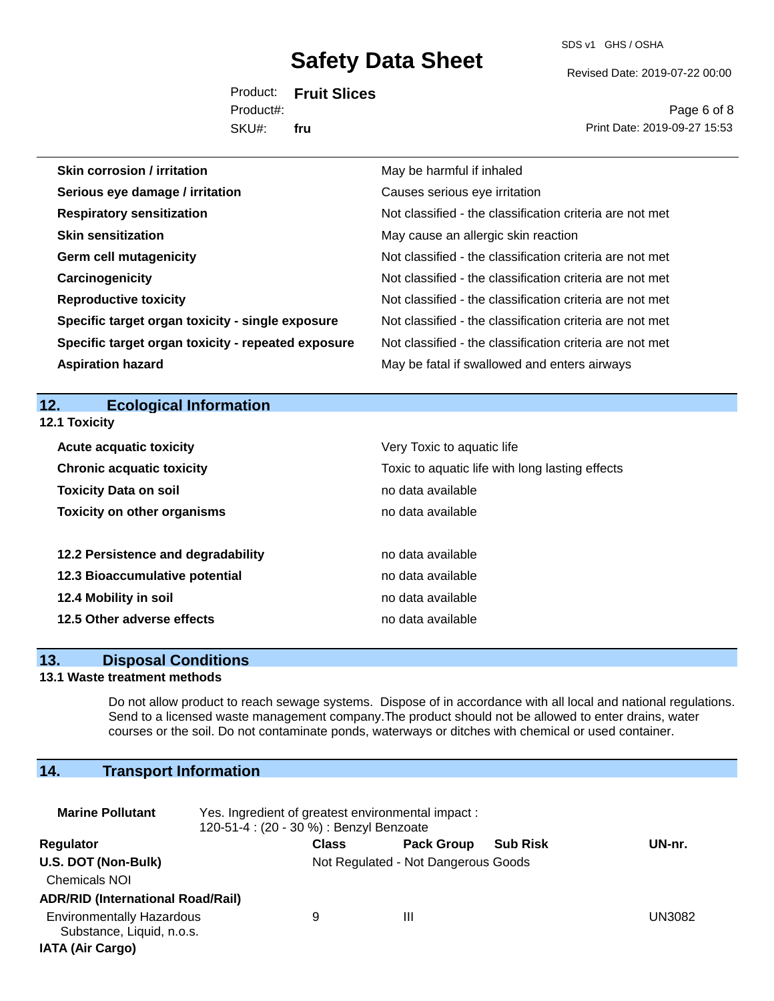SDS v1 GHS / OSHA

Revised Date: 2019-07-22 00:00

Product: **Fruit Slices** SKU#: Product#: **fru**

Page 6 of 8 Print Date: 2019-09-27 15:53

| <b>Skin corrosion / irritation</b>                 | May be harmful if inhaled                                |
|----------------------------------------------------|----------------------------------------------------------|
| Serious eye damage / irritation                    | Causes serious eye irritation                            |
| <b>Respiratory sensitization</b>                   | Not classified - the classification criteria are not met |
| <b>Skin sensitization</b>                          | May cause an allergic skin reaction                      |
| <b>Germ cell mutagenicity</b>                      | Not classified - the classification criteria are not met |
| Carcinogenicity                                    | Not classified - the classification criteria are not met |
| <b>Reproductive toxicity</b>                       | Not classified - the classification criteria are not met |
| Specific target organ toxicity - single exposure   | Not classified - the classification criteria are not met |
| Specific target organ toxicity - repeated exposure | Not classified - the classification criteria are not met |
| <b>Aspiration hazard</b>                           | May be fatal if swallowed and enters airways             |
|                                                    |                                                          |
| 12.<br><b>Ecological Information</b>               |                                                          |

| IZ.I IOXICILV                      |                                                 |
|------------------------------------|-------------------------------------------------|
| <b>Acute acquatic toxicity</b>     | Very Toxic to aquatic life                      |
| <b>Chronic acquatic toxicity</b>   | Toxic to aquatic life with long lasting effects |
| <b>Toxicity Data on soil</b>       | no data available                               |
| <b>Toxicity on other organisms</b> | no data available                               |
|                                    |                                                 |
| 12.2 Persistence and degradability | no data available                               |
| 12.3 Bioaccumulative potential     | no data available                               |
| 12.4 Mobility in soil              | no data available                               |
| 12.5 Other adverse effects         | no data available                               |

## **13. Disposal Conditions**

## **13.1 Waste treatment methods**

**12.1 Toxicity**

Do not allow product to reach sewage systems. Dispose of in accordance with all local and national regulations. Send to a licensed waste management company.The product should not be allowed to enter drains, water courses or the soil. Do not contaminate ponds, waterways or ditches with chemical or used container.

## **14. Transport Information**

| <b>Marine Pollutant</b>                                       | Yes. Ingredient of greatest environmental impact:<br>120-51-4 : (20 - 30 %) : Benzyl Benzoate |                                     |                   |                 |        |
|---------------------------------------------------------------|-----------------------------------------------------------------------------------------------|-------------------------------------|-------------------|-----------------|--------|
| Regulator                                                     |                                                                                               | <b>Class</b>                        | <b>Pack Group</b> | <b>Sub Risk</b> | UN-nr. |
| U.S. DOT (Non-Bulk)                                           |                                                                                               | Not Regulated - Not Dangerous Goods |                   |                 |        |
| <b>Chemicals NOI</b>                                          |                                                                                               |                                     |                   |                 |        |
| <b>ADR/RID (International Road/Rail)</b>                      |                                                                                               |                                     |                   |                 |        |
| <b>Environmentally Hazardous</b><br>Substance, Liquid, n.o.s. |                                                                                               | 9                                   | Ш                 |                 | UN3082 |
| <b>IATA (Air Cargo)</b>                                       |                                                                                               |                                     |                   |                 |        |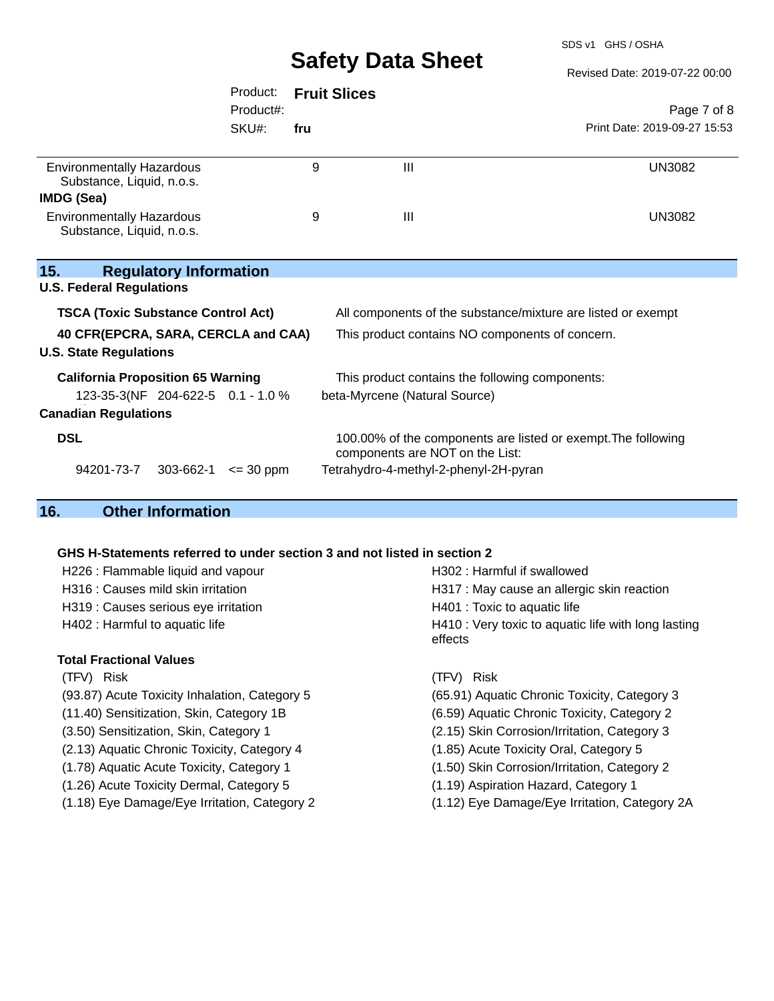SDS v1 GHS / OSHA

Revised Date: 2019-07-22 00:00

|                                                               | Product:      |     | <b>Fruit Slices</b>                                                                              |                              |
|---------------------------------------------------------------|---------------|-----|--------------------------------------------------------------------------------------------------|------------------------------|
|                                                               | Product#:     |     |                                                                                                  | Page 7 of 8                  |
|                                                               | SKU#:         | fru |                                                                                                  | Print Date: 2019-09-27 15:53 |
| <b>Environmentally Hazardous</b><br>Substance, Liquid, n.o.s. |               | 9   | $\mathbf{III}$                                                                                   | <b>UN3082</b>                |
| IMDG (Sea)                                                    |               |     |                                                                                                  |                              |
| <b>Environmentally Hazardous</b><br>Substance, Liquid, n.o.s. |               | 9   | $\mathbf{III}$                                                                                   | <b>UN3082</b>                |
| 15.<br><b>Regulatory Information</b>                          |               |     |                                                                                                  |                              |
| <b>U.S. Federal Regulations</b>                               |               |     |                                                                                                  |                              |
| <b>TSCA (Toxic Substance Control Act)</b>                     |               |     | All components of the substance/mixture are listed or exempt                                     |                              |
| 40 CFR(EPCRA, SARA, CERCLA and CAA)                           |               |     | This product contains NO components of concern.                                                  |                              |
| <b>U.S. State Regulations</b>                                 |               |     |                                                                                                  |                              |
| <b>California Proposition 65 Warning</b>                      |               |     | This product contains the following components:                                                  |                              |
| 123-35-3(NF 204-622-5 0.1 - 1.0 %                             |               |     | beta-Myrcene (Natural Source)                                                                    |                              |
| <b>Canadian Regulations</b>                                   |               |     |                                                                                                  |                              |
| <b>DSL</b>                                                    |               |     | 100.00% of the components are listed or exempt. The following<br>components are NOT on the List: |                              |
| 94201-73-7<br>303-662-1                                       | $\leq$ 30 ppm |     | Tetrahydro-4-methyl-2-phenyl-2H-pyran                                                            |                              |
| 4 C<br>Othar Infarmation                                      |               |     |                                                                                                  |                              |

## **16. Other Information**

## **GHS H-Statements referred to under section 3 and not listed in section 2**

| H226 : Flammable liquid and vapour            | H302: Harmful if swallowed                                     |  |  |
|-----------------------------------------------|----------------------------------------------------------------|--|--|
| H316 : Causes mild skin irritation            | H317 : May cause an allergic skin reaction                     |  |  |
| H319 : Causes serious eye irritation          | H401 : Toxic to aquatic life                                   |  |  |
| H402 : Harmful to aquatic life                | H410 : Very toxic to aquatic life with long lasting<br>effects |  |  |
| <b>Total Fractional Values</b>                |                                                                |  |  |
| (TFV) Risk                                    | (TFV) Risk                                                     |  |  |
| (93.87) Acute Toxicity Inhalation, Category 5 | (65.91) Aquatic Chronic Toxicity, Category 3                   |  |  |
|                                               |                                                                |  |  |

- (11.40) Sensitization, Skin, Category 1B (6.59) Aquatic Chronic Toxicity, Category 2
- (3.50) Sensitization, Skin, Category 1 (2.15) Skin Corrosion/Irritation, Category 3
- (2.13) Aquatic Chronic Toxicity, Category 4 (1.85) Acute Toxicity Oral, Category 5
- (1.78) Aquatic Acute Toxicity, Category 1 (1.50) Skin Corrosion/Irritation, Category 2
- (1.26) Acute Toxicity Dermal, Category 5 (1.19) Aspiration Hazard, Category 1
- (1.18) Eye Damage/Eye Irritation, Category 2 (1.12) Eye Damage/Eye Irritation, Category 2A